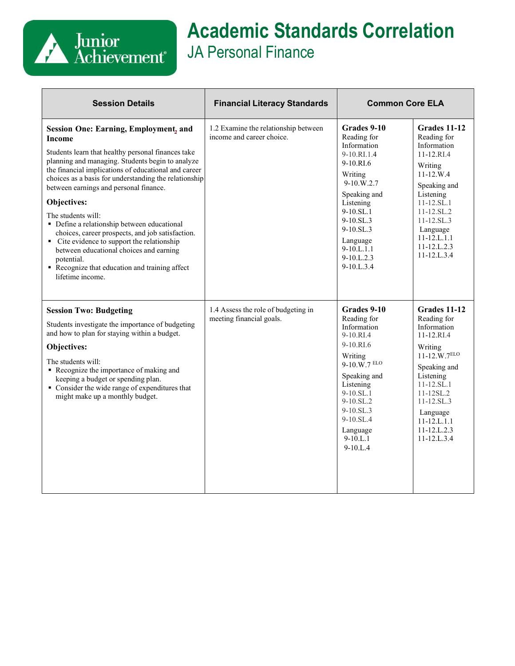

## **Academic Standards Correlation** JA Personal Finance

| <b>Session Details</b>                                                                                                                                                                                                                                                                                                                                                                                                                                                                                                                                                                                                                                 | <b>Financial Literacy Standards</b>                               | <b>Common Core ELA</b>                                                                                                                                                                                                                         |                                                                                                                                                                                                                                                             |
|--------------------------------------------------------------------------------------------------------------------------------------------------------------------------------------------------------------------------------------------------------------------------------------------------------------------------------------------------------------------------------------------------------------------------------------------------------------------------------------------------------------------------------------------------------------------------------------------------------------------------------------------------------|-------------------------------------------------------------------|------------------------------------------------------------------------------------------------------------------------------------------------------------------------------------------------------------------------------------------------|-------------------------------------------------------------------------------------------------------------------------------------------------------------------------------------------------------------------------------------------------------------|
| <b>Session One: Earning, Employment, and</b><br><b>Income</b><br>Students learn that healthy personal finances take<br>planning and managing. Students begin to analyze<br>the financial implications of educational and career<br>choices as a basis for understanding the relationship<br>between earnings and personal finance.<br>Objectives:<br>The students will:<br>• Define a relationship between educational<br>choices, career prospects, and job satisfaction.<br>• Cite evidence to support the relationship<br>between educational choices and earning<br>potential.<br>Recognize that education and training affect<br>lifetime income. | 1.2 Examine the relationship between<br>income and career choice. | Grades 9-10<br>Reading for<br>Information<br>9-10.RI.1.4<br>9-10.RI.6<br>Writing<br>$9-10$ .W.2.7<br>Speaking and<br>Listening<br>9-10.SL.1<br>$9-10.SL.3$<br>9-10.SL.3<br>Language<br>$9-10.L.1.1$<br>$9-10.L.2.3$<br>$9-10.L.3.4$            | <b>Grades 11-12</b><br>Reading for<br>Information<br>11-12.RI.4<br>Writing<br>$11 - 12.W.4$<br>Speaking and<br>Listening<br>$11 - 12.5L.1$<br>$11 - 12$ .SL.2<br>$11 - 12$ .SL.3<br>Language<br>$11 - 12$ .L. $1.1$<br>$11 - 12$ .L.2.3<br>$11 - 12$ .L.3.4 |
| <b>Session Two: Budgeting</b><br>Students investigate the importance of budgeting<br>and how to plan for staying within a budget.<br>Objectives:<br>The students will:<br>Recognize the importance of making and<br>keeping a budget or spending plan.<br>• Consider the wide range of expenditures that<br>might make up a monthly budget.                                                                                                                                                                                                                                                                                                            | 1.4 Assess the role of budgeting in<br>meeting financial goals.   | Grades 9-10<br>Reading for<br>Information<br>$9-10.RI.4$<br>9-10.RI.6<br>Writing<br>$9-10.\widetilde{W}$ .7 ELO<br>Speaking and<br>Listening<br>$9-10.SL.1$<br>9-10.SL.2<br>$9-10.SL.3$<br>$9-10.SL.4$<br>Language<br>$9-10.L.1$<br>$9-10.L.4$ | Grades 11-12<br>Reading for<br>Information<br>11-12.RI.4<br>Writing<br>$11 - 12. W.7 ELO$<br>Speaking and<br>Listening<br>11-12.SL.1<br>$11 - 12 SL.2$<br>$11 - 12$ .SL.3<br>Language<br>$11 - 12$ .L. $1.1$<br>$11 - 12$ .L.2.3<br>$11 - 12$ .L.3.4        |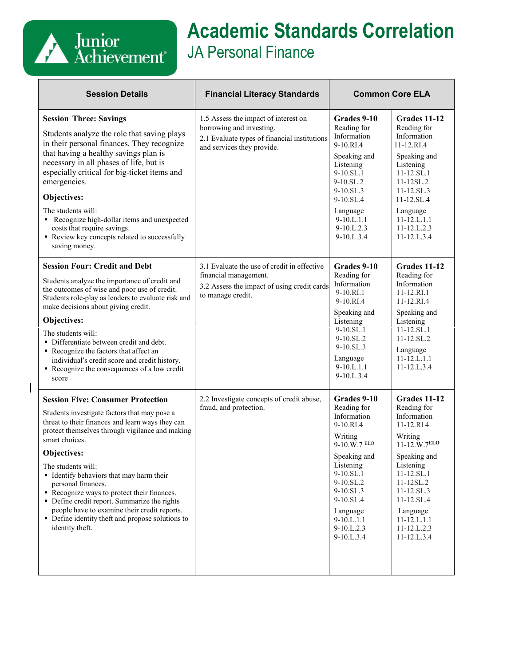

 $\overline{\phantom{a}}$ 

## **Academic Standards Correlation** JA Personal Finance

| <b>Session Details</b>                                                                                                                                                                                                                                                                                                                                                                                                                                                                                                                       | <b>Financial Literacy Standards</b>                                                                                                            | <b>Common Core ELA</b>                                                                                                                                                                                                    |                                                                                                                                                                                                                                                            |
|----------------------------------------------------------------------------------------------------------------------------------------------------------------------------------------------------------------------------------------------------------------------------------------------------------------------------------------------------------------------------------------------------------------------------------------------------------------------------------------------------------------------------------------------|------------------------------------------------------------------------------------------------------------------------------------------------|---------------------------------------------------------------------------------------------------------------------------------------------------------------------------------------------------------------------------|------------------------------------------------------------------------------------------------------------------------------------------------------------------------------------------------------------------------------------------------------------|
| <b>Session Three: Savings</b><br>Students analyze the role that saving plays<br>in their personal finances. They recognize<br>that having a healthy savings plan is<br>necessary in all phases of life, but is<br>especially critical for big-ticket items and<br>emergencies.<br>Objectives:<br>The students will:<br>Recognize high-dollar items and unexpected<br>costs that require savings.<br>Review key concepts related to successfully<br>saving money.                                                                             | 1.5 Assess the impact of interest on<br>borrowing and investing.<br>2.1 Evaluate types of financial institutions<br>and services they provide. | Grades 9-10<br>Reading for<br>Information<br>9-10.RL4<br>Speaking and<br>Listening<br>$9-10.SL.1$<br>9-10.SL.2<br>9-10.SL.3<br>$9-10.SL.4$<br>Language<br>9-10.L.1.1<br>9-10.L.2.3<br>9-10.L.3.4                          | Grades 11-12<br>Reading for<br>Information<br>11-12.RI.4<br>Speaking and<br>Listening<br>$11 - 12$ .SL.1<br>$11 - 12 SL.2$<br>$11 - 12$ .SL.3<br>$11 - 12$ .SL.4<br>Language<br>$11 - 12$ .L. $1.1$<br>11-12.L.2.3<br>11-12.L.3.4                          |
| <b>Session Four: Credit and Debt</b><br>Students analyze the importance of credit and<br>the outcomes of wise and poor use of credit.<br>Students role-play as lenders to evaluate risk and<br>make decisions about giving credit.<br>Objectives:<br>The students will:<br>• Differentiate between credit and debt.<br>Recognize the factors that affect an<br>individual's credit score and credit history.<br>Recognize the consequences of a low credit<br>score                                                                          | 3.1 Evaluate the use of credit in effective<br>financial management.<br>3.2 Assess the impact of using credit cards<br>to manage credit.       | Grades 9-10<br>Reading for<br>Information<br>9-10.RI.1<br>$9-10.RI.4$<br>Speaking and<br>Listening<br>$9-10.SL.1$<br>9-10.SL.2<br>9-10.SL.3<br>Language<br>$9-10.L.1.1$<br>9-10.L.3.4                                     | Grades 11-12<br>Reading for<br>Information<br>$11 - 12.RI.1$<br>11-12.RL4<br>Speaking and<br>Listening<br>$11 - 12$ .SL.1<br>$11 - 12$ .SL.2<br>Language<br>$11 - 12$ .L. $1.1$<br>$11 - 12$ .L.3.4                                                        |
| <b>Session Five: Consumer Protection</b><br>Students investigate factors that may pose a<br>threat to their finances and learn ways they can<br>protect themselves through vigilance and making<br>smart choices.<br>Objectives:<br>The students will:<br>• Identify behaviors that may harm their<br>personal finances.<br>Recognize ways to protect their finances.<br>• Define credit report. Summarize the rights<br>people have to examine their credit reports.<br>• Define identity theft and propose solutions to<br>identity theft. | 2.2 Investigate concepts of credit abuse,<br>fraud, and protection.                                                                            | Grades 9-10<br>Reading for<br>Information<br>9-10.RL4<br>Writing<br>9-10.W.7 ELO<br>Speaking and<br>Listening<br>9-10.SL.1<br>9-10.SL.2<br>9-10.SL.3<br>9-10.SL.4<br>Language<br>$9-10.L.1.1$<br>9-10.L.2.3<br>9-10.L.3.4 | Grades 11-12<br>Reading for<br>Information<br>$11 - 12.RI4$<br>Writing<br>$11 - 12. W.7ELO$<br>Speaking and<br>Listening<br>11-12.SL.1<br>11-12SL.2<br>$11 - 12$ .SL.3<br>11-12.SL.4<br>Language<br>$11 - 12$ .L. $1.1$<br>$11 - 12$ .L.2.3<br>11-12.L.3.4 |